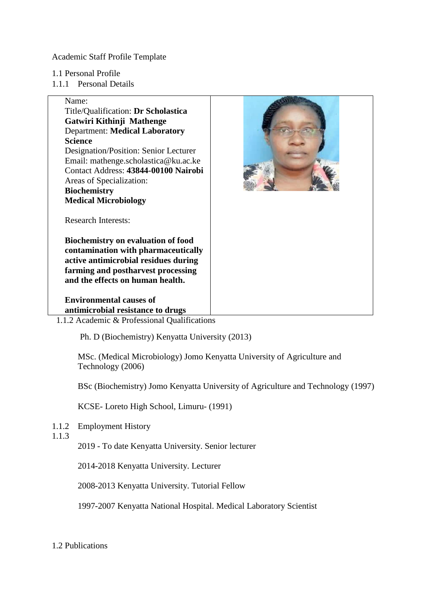Academic Staff Profile Template

- 1.1 Personal Profile
- 1.1.1 Personal Details

## Name:

Title/Qualification: **Dr Scholastica Gatwiri Kithinji Mathenge** Department: **Medical Laboratory Science** Designation/Position: Senior Lecturer Email: mathenge.scholastica@ku.ac.ke Contact Address: **43844-00100 Nairobi** Areas of Specialization: **Biochemistry** 

**Medical Microbiology**



Research Interests:

**Biochemistry on evaluation of food contamination with pharmaceutically active antimicrobial residues during farming and postharvest processing and the effects on human health.**

**Environmental causes of antimicrobial resistance to drugs** 

1.1.2 Academic & Professional Qualifications

Ph. D (Biochemistry) Kenyatta University (2013)

MSc. (Medical Microbiology) Jomo Kenyatta University of Agriculture and Technology (2006)

BSc (Biochemistry) Jomo Kenyatta University of Agriculture and Technology (1997)

KCSE- Loreto High School, Limuru- (1991)

1.1.2 Employment History

1.1.3

2019 - To date Kenyatta University. Senior lecturer

2014-2018 Kenyatta University. Lecturer

2008-2013 Kenyatta University. Tutorial Fellow

1997-2007 Kenyatta National Hospital. Medical Laboratory Scientist

1.2 Publications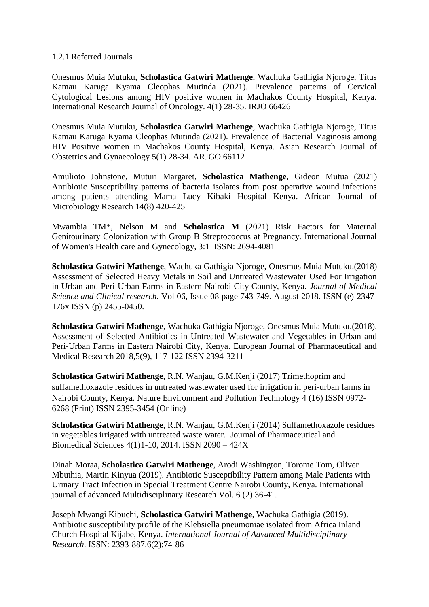#### 1.2.1 Referred Journals

Onesmus Muia Mutuku, **Scholastica Gatwiri Mathenge**, Wachuka Gathigia Njoroge, Titus Kamau Karuga Kyama Cleophas Mutinda (2021). Prevalence patterns of Cervical Cytological Lesions among HIV positive women in Machakos County Hospital, Kenya. International Research Journal of Oncology. 4(1) 28-35. IRJO 66426

Onesmus Muia Mutuku, **Scholastica Gatwiri Mathenge**, Wachuka Gathigia Njoroge, Titus Kamau Karuga Kyama Cleophas Mutinda (2021). Prevalence of Bacterial Vaginosis among HIV Positive women in Machakos County Hospital, Kenya. Asian Research Journal of Obstetrics and Gynaecology 5(1) 28-34. ARJGO 66112

Amulioto Johnstone, Muturi Margaret, **Scholastica Mathenge**, Gideon Mutua (2021) Antibiotic Susceptibility patterns of bacteria isolates from post operative wound infections among patients attending Mama Lucy Kibaki Hospital Kenya. African Journal of Microbiology Research 14(8) 420-425

Mwambia TM\*, Nelson M and **Scholastica M** (2021) Risk Factors for Maternal Genitourinary Colonization with Group B Streptococcus at Pregnancy. International Journal of Women's Health care and Gynecology, 3:1 ISSN: 2694-4081

**Scholastica Gatwiri Mathenge**, Wachuka Gathigia Njoroge, Onesmus Muia Mutuku.(2018) Assessment of Selected Heavy Metals in Soil and Untreated Wastewater Used For Irrigation in Urban and Peri-Urban Farms in Eastern Nairobi City County, Kenya. *Journal of Medical Science and Clinical research.* Vol 06, Issue 08 page 743-749. August 2018. ISSN (e)-2347- 176x ISSN (p) 2455-0450.

**Scholastica Gatwiri Mathenge**, Wachuka Gathigia Njoroge, Onesmus Muia Mutuku.(2018). Assessment of Selected Antibiotics in Untreated Wastewater and Vegetables in Urban and Peri-Urban Farms in Eastern Nairobi City, Kenya. European Journal of Pharmaceutical and Medical Research 2018,5(9), 117-122 ISSN 2394-3211

**Scholastica Gatwiri Mathenge**, R.N. Wanjau, G.M.Kenji (2017) Trimethoprim and sulfamethoxazole residues in untreated wastewater used for irrigation in peri-urban farms in Nairobi County, Kenya. Nature Environment and Pollution Technology 4 (16) ISSN 0972- 6268 (Print) ISSN 2395-3454 (Online)

**Scholastica Gatwiri Mathenge**, R.N. Wanjau, G.M.Kenji (2014) Sulfamethoxazole residues in vegetables irrigated with untreated waste water. Journal of Pharmaceutical and Biomedical Sciences 4(1)1-10, 2014. ISSN 2090 – 424X

Dinah Moraa, **Scholastica Gatwiri Mathenge**, Arodi Washington, Torome Tom, Oliver Mbuthia, Martin Kinyua (2019). Antibiotic Susceptibility Pattern among Male Patients with Urinary Tract Infection in Special Treatment Centre Nairobi County, Kenya. International journal of advanced Multidisciplinary Research Vol. 6 (2) 36-41.

Joseph Mwangi Kibuchi, **Scholastica Gatwiri Mathenge**, Wachuka Gathigia (2019). Antibiotic susceptibility profile of the Klebsiella pneumoniae isolated from Africa Inland Church Hospital Kijabe, Kenya. *International Journal of Advanced Multidisciplinary Research*. ISSN: 2393-887.6(2):74-86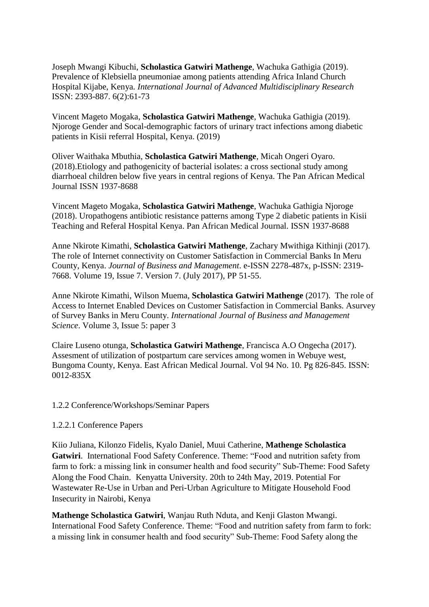Joseph Mwangi Kibuchi, **Scholastica Gatwiri Mathenge**, Wachuka Gathigia (2019). Prevalence of Klebsiella pneumoniae among patients attending Africa Inland Church Hospital Kijabe, Kenya. *International Journal of Advanced Multidisciplinary Research* ISSN: 2393-887. 6(2):61-73

Vincent Mageto Mogaka, **Scholastica Gatwiri Mathenge**, Wachuka Gathigia (2019). Njoroge Gender and Socal-demographic factors of urinary tract infections among diabetic patients in Kisii referral Hospital, Kenya. (2019)

Oliver Waithaka Mbuthia, **Scholastica Gatwiri Mathenge**, Micah Ongeri Oyaro. (2018).Etiology and pathogenicity of bacterial isolates: a cross sectional study among diarrhoeal children below five years in central regions of Kenya. The Pan African Medical Journal ISSN 1937-8688

Vincent Mageto Mogaka, **Scholastica Gatwiri Mathenge**, Wachuka Gathigia Njoroge (2018). Uropathogens antibiotic resistance patterns among Type 2 diabetic patients in Kisii Teaching and Referal Hospital Kenya. Pan African Medical Journal. ISSN 1937-8688

Anne Nkirote Kimathi, **Scholastica Gatwiri Mathenge**, Zachary Mwithiga Kithinji (2017). The role of Internet connectivity on Customer Satisfaction in Commercial Banks In Meru County, Kenya. *Journal of Business and Management*. e-ISSN 2278-487x, p-ISSN: 2319- 7668. Volume 19, Issue 7. Version 7. (July 2017), PP 51-55.

Anne Nkirote Kimathi, Wilson Muema, **Scholastica Gatwiri Mathenge** (2017). The role of Access to Internet Enabled Devices on Customer Satisfaction in Commercial Banks. Asurvey of Survey Banks in Meru County. *International Journal of Business and Management Science*. Volume 3, Issue 5: paper 3

Claire Luseno otunga, **Scholastica Gatwiri Mathenge**, Francisca A.O Ongecha (2017). Assesment of utilization of postpartum care services among women in Webuye west, Bungoma County, Kenya. East African Medical Journal. Vol 94 No. 10. Pg 826-845. ISSN: 0012-835X

#### 1.2.2 Conference/Workshops/Seminar Papers

#### 1.2.2.1 Conference Papers

Kiio Juliana, Kilonzo Fidelis, Kyalo Daniel, Muui Catherine, **Mathenge Scholastica Gatwiri**. International Food Safety Conference. Theme: "Food and nutrition safety from farm to fork: a missing link in consumer health and food security" Sub-Theme: Food Safety Along the Food Chain. Kenyatta University. 20th to 24th May, 2019. Potential For Wastewater Re-Use in Urban and Peri-Urban Agriculture to Mitigate Household Food Insecurity in Nairobi, Kenya

**Mathenge Scholastica Gatwiri**, Wanjau Ruth Nduta, and Kenji Glaston Mwangi. International Food Safety Conference. Theme: "Food and nutrition safety from farm to fork: a missing link in consumer health and food security" Sub-Theme: Food Safety along the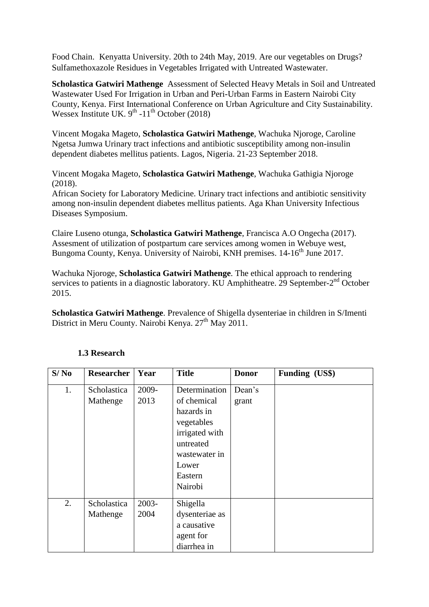Food Chain. Kenyatta University. 20th to 24th May, 2019. Are our vegetables on Drugs? Sulfamethoxazole Residues in Vegetables Irrigated with Untreated Wastewater.

**Scholastica Gatwiri Mathenge** Assessment of Selected Heavy Metals in Soil and Untreated Wastewater Used For Irrigation in Urban and Peri-Urban Farms in Eastern Nairobi City County, Kenya. First International Conference on Urban Agriculture and City Sustainability. Wessex Institute UK.  $9^{th}$  -11<sup>th</sup> October (2018)

Vincent Mogaka Mageto, **Scholastica Gatwiri Mathenge**, Wachuka Njoroge, Caroline Ngetsa Jumwa Urinary tract infections and antibiotic susceptibility among non-insulin dependent diabetes mellitus patients. Lagos, Nigeria. 21-23 September 2018.

Vincent Mogaka Mageto, **Scholastica Gatwiri Mathenge**, Wachuka Gathigia Njoroge (2018).

African Society for Laboratory Medicine. Urinary tract infections and antibiotic sensitivity among non-insulin dependent diabetes mellitus patients. Aga Khan University Infectious Diseases Symposium.

Claire Luseno otunga, **Scholastica Gatwiri Mathenge**, Francisca A.O Ongecha (2017). Assesment of utilization of postpartum care services among women in Webuye west, Bungoma County, Kenya. University of Nairobi, KNH premises. 14-16<sup>th</sup> June 2017.

Wachuka Njoroge, **Scholastica Gatwiri Mathenge**. The ethical approach to rendering services to patients in a diagnostic laboratory. KU Amphitheatre. 29 September-2<sup>nd</sup> October 2015.

**Scholastica Gatwiri Mathenge**. Prevalence of Shigella dysenteriae in children in S/Imenti District in Meru County. Nairobi Kenya. 27<sup>th</sup> May 2011.

| S/No | <b>Researcher</b> | Year  | <b>Title</b>   | <b>Donor</b> | Funding (US\$) |
|------|-------------------|-------|----------------|--------------|----------------|
| 1.   | Scholastica       | 2009- | Determination  | Dean's       |                |
|      | Mathenge          | 2013  | of chemical    | grant        |                |
|      |                   |       | hazards in     |              |                |
|      |                   |       | vegetables     |              |                |
|      |                   |       | irrigated with |              |                |
|      |                   |       | untreated      |              |                |
|      |                   |       | wastewater in  |              |                |
|      |                   |       | Lower          |              |                |
|      |                   |       | Eastern        |              |                |
|      |                   |       | Nairobi        |              |                |
| 2.   | Scholastica       | 2003- | Shigella       |              |                |
|      | Mathenge          | 2004  | dysenteriae as |              |                |
|      |                   |       | a causative    |              |                |
|      |                   |       | agent for      |              |                |
|      |                   |       | diarrhea in    |              |                |

### **1.3 Research**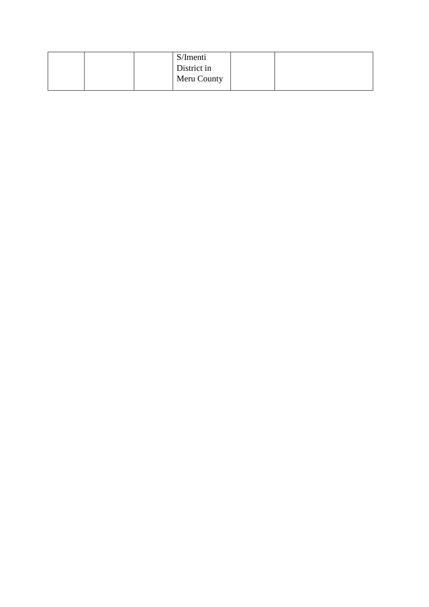|  | S/Imenti    |  |
|--|-------------|--|
|  | District in |  |
|  | Meru County |  |
|  |             |  |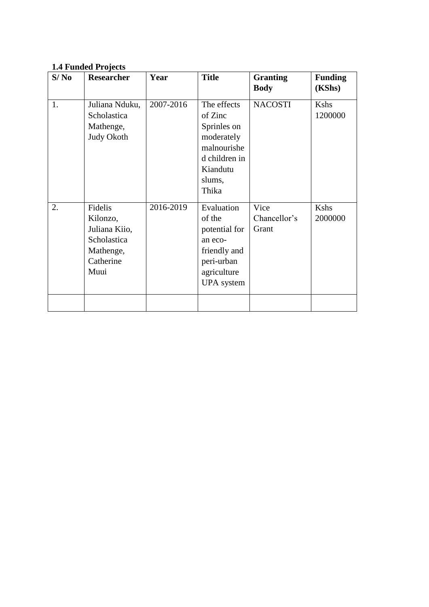## **1.4 Funded Projects**

| S/No | <b>Researcher</b>                                                                     | Year      | <b>Title</b>                                                                                                       | <b>Granting</b><br><b>Body</b> | <b>Funding</b><br>(KShs) |
|------|---------------------------------------------------------------------------------------|-----------|--------------------------------------------------------------------------------------------------------------------|--------------------------------|--------------------------|
|      |                                                                                       |           |                                                                                                                    |                                |                          |
| 1.   | Juliana Nduku,<br>Scholastica<br>Mathenge,<br>Judy Okoth                              | 2007-2016 | The effects<br>of Zinc<br>Sprinles on<br>moderately<br>malnourishe<br>d children in<br>Kiandutu<br>slums,          | <b>NACOSTI</b>                 | Kshs<br>1200000          |
|      |                                                                                       |           | Thika                                                                                                              |                                |                          |
| 2.   | Fidelis<br>Kilonzo,<br>Juliana Kiio,<br>Scholastica<br>Mathenge,<br>Catherine<br>Muui | 2016-2019 | Evaluation<br>of the<br>potential for<br>an eco-<br>friendly and<br>peri-urban<br>agriculture<br><b>UPA</b> system | Vice<br>Chancellor's<br>Grant  | Kshs<br>2000000          |
|      |                                                                                       |           |                                                                                                                    |                                |                          |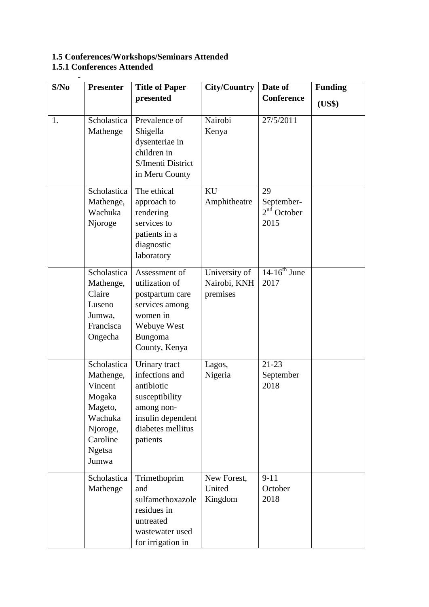### **1.5 Conferences/Workshops/Seminars Attended 1.5.1 Conferences Attended**

-

| S/No | <b>Presenter</b>                                                                                                      | <b>Title of Paper</b>                                                                                                               | <b>City/Country</b>                       | Date of                                   | <b>Funding</b> |
|------|-----------------------------------------------------------------------------------------------------------------------|-------------------------------------------------------------------------------------------------------------------------------------|-------------------------------------------|-------------------------------------------|----------------|
|      |                                                                                                                       | presented                                                                                                                           |                                           | Conference                                | (US\$)         |
| 1.   | Scholastica<br>Mathenge                                                                                               | Prevalence of<br>Shigella<br>dysenteriae in<br>children in<br>S/Imenti District<br>in Meru County                                   | Nairobi<br>Kenya                          | 27/5/2011                                 |                |
|      | Scholastica<br>Mathenge,<br>Wachuka<br>Njoroge                                                                        | The ethical<br>approach to<br>rendering<br>services to<br>patients in a<br>diagnostic<br>laboratory                                 | KU<br>Amphitheatre                        | 29<br>September-<br>$2nd$ October<br>2015 |                |
|      | Scholastica<br>Mathenge,<br>Claire<br>Luseno<br>Jumwa,<br>Francisca<br>Ongecha                                        | Assessment of<br>utilization of<br>postpartum care<br>services among<br>women in<br>Webuye West<br>Bungoma<br>County, Kenya         | University of<br>Nairobi, KNH<br>premises | $14-16^{th}$ June<br>2017                 |                |
|      | Scholastica<br>Mathenge,<br>Vincent<br>Mogaka<br>Mageto,<br>Wachuka<br>Njoroge,<br>Caroline<br><b>Ngetsa</b><br>Jumwa | Urinary tract<br>infections and<br>antibiotic<br>susceptibility<br>among non-<br>insulin dependent<br>diabetes mellitus<br>patients | Lagos,<br>Nigeria                         | $21-23$<br>September<br>2018              |                |
|      | Scholastica<br>Mathenge                                                                                               | Trimethoprim<br>and<br>sulfamethoxazole<br>residues in<br>untreated<br>wastewater used<br>for irrigation in                         | New Forest,<br>United<br>Kingdom          | $9 - 11$<br>October<br>2018               |                |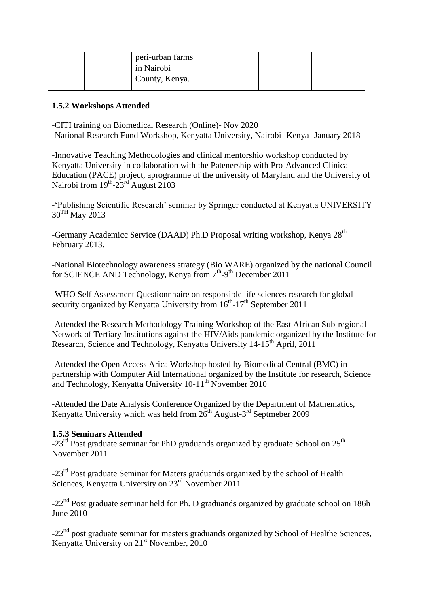| peri-urban farms<br>in Nairobi |  |  |
|--------------------------------|--|--|
| County, Kenya.                 |  |  |

#### **1.5.2 Workshops Attended**

-CITI training on Biomedical Research (Online)- Nov 2020

-National Research Fund Workshop, Kenyatta University, Nairobi- Kenya- January 2018

-Innovative Teaching Methodologies and clinical mentorshio workshop conducted by Kenyatta University in collaboration with the Patenership with Pro-Advanced Clinica Education (PACE) project, aprogramme of the university of Maryland and the University of Nairobi from 19<sup>th</sup>-23<sup>rd</sup> August 2103

-'Publishing Scientific Research' seminar by Springer conducted at Kenyatta UNIVERSITY 30<sup>TH</sup> May 2013

-Germany Academicc Service (DAAD) Ph.D Proposal writing workshop, Kenya 28<sup>th</sup> February 2013.

-National Biotechnology awareness strategy (Bio WARE) organized by the national Council for SCIENCE AND Technology, Kenya from 7<sup>th</sup>-9<sup>th</sup> December 2011

-WHO Self Assessment Questionnnaire on responsible life sciences research for global security organized by Kenyatta University from  $16^{th}$ -17<sup>th</sup> September 2011

-Attended the Research Methodology Training Workshop of the East African Sub-regional Network of Tertiary Institutions against the HIV/Aids pandemic organized by the Institute for Research, Science and Technology, Kenyatta University 14-15<sup>th</sup> April, 2011

-Attended the Open Access Arica Workshop hosted by Biomedical Central (BMC) in partnership with Computer Aid International organized by the Institute for research, Science and Technology, Kenyatta University  $10-11^{th}$  November 2010

-Attended the Date Analysis Conference Organized by the Department of Mathematics, Kenyatta University which was held from  $26<sup>th</sup>$  August-3<sup>rd</sup> Septmeber 2009

#### **1.5.3 Seminars Attended**

 $-23<sup>rd</sup>$  Post graduate seminar for PhD graduands organized by graduate School on  $25<sup>th</sup>$ November 2011

-23rd Post graduate Seminar for Maters graduands organized by the school of Health Sciences, Kenyatta University on 23<sup>rd</sup> November 2011

-22<sup>nd</sup> Post graduate seminar held for Ph. D graduands organized by graduate school on 186h June 2010

 $-22<sup>nd</sup>$  post graduate seminar for masters graduands organized by School of Healthe Sciences, Kenyatta University on  $21<sup>st</sup>$  November, 2010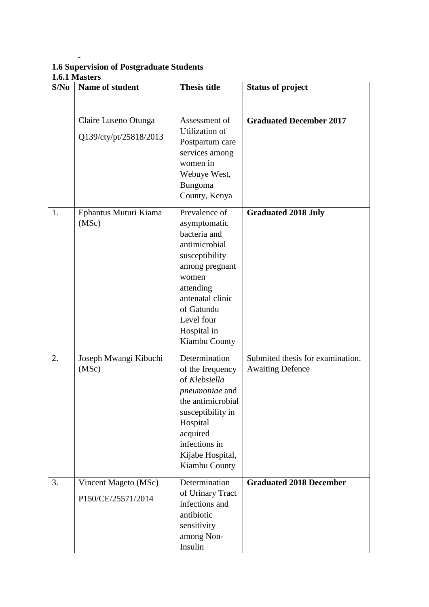## **1.6 Supervision of Postgraduate Students 1.6.1 Masters**

-

| <b>Graduated December 2017</b>   |
|----------------------------------|
|                                  |
| Submited thesis for examination. |
| <b>Graduated 2018 December</b>   |
|                                  |
|                                  |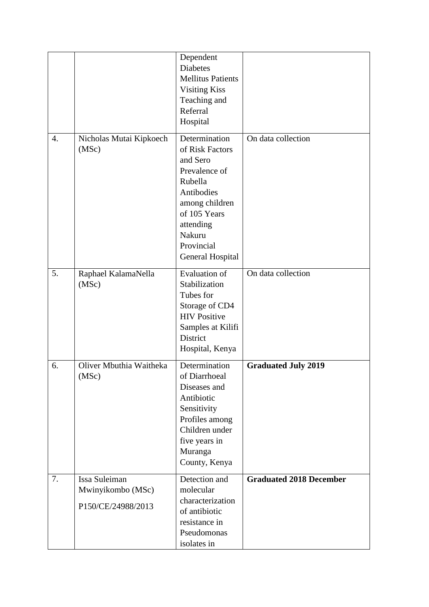|    |                                                          | Dependent<br><b>Diabetes</b><br><b>Mellitus Patients</b><br><b>Visiting Kiss</b><br>Teaching and<br>Referral<br>Hospital                                                          |                                |
|----|----------------------------------------------------------|-----------------------------------------------------------------------------------------------------------------------------------------------------------------------------------|--------------------------------|
| 4. | Nicholas Mutai Kipkoech<br>(MSc)                         | Determination<br>of Risk Factors<br>and Sero<br>Prevalence of<br>Rubella<br>Antibodies<br>among children<br>of 105 Years<br>attending<br>Nakuru<br>Provincial<br>General Hospital | On data collection             |
| 5. | Raphael KalamaNella<br>(MSc)                             | <b>Evaluation of</b><br>Stabilization<br>Tubes for<br>Storage of CD4<br><b>HIV Positive</b><br>Samples at Kilifi<br>District<br>Hospital, Kenya                                   | On data collection             |
| 6. | Oliver Mbuthia Waitheka<br>(MSc)                         | Determination<br>of Diarrhoeal<br>Diseases and<br>Antibiotic<br>Sensitivity<br>Profiles among<br>Children under<br>five years in<br>Muranga<br>County, Kenya                      | <b>Graduated July 2019</b>     |
| 7. | Issa Suleiman<br>Mwinyikombo (MSc)<br>P150/CE/24988/2013 | Detection and<br>molecular<br>characterization<br>of antibiotic<br>resistance in<br>Pseudomonas<br>isolates in                                                                    | <b>Graduated 2018 December</b> |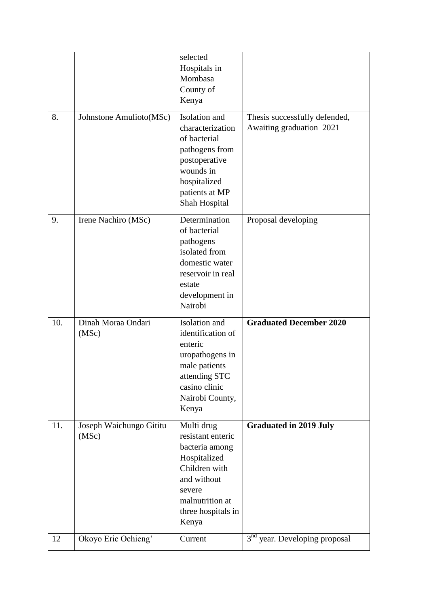|     |                                  | selected<br>Hospitals in<br>Mombasa<br>County of<br>Kenya                                                                                                     |                                                           |
|-----|----------------------------------|---------------------------------------------------------------------------------------------------------------------------------------------------------------|-----------------------------------------------------------|
| 8.  | Johnstone Amulioto(MSc)          | Isolation and<br>characterization<br>of bacterial<br>pathogens from<br>postoperative<br>wounds in<br>hospitalized<br>patients at MP<br>Shah Hospital          | Thesis successfully defended,<br>Awaiting graduation 2021 |
| 9.  | Irene Nachiro (MSc)              | Determination<br>of bacterial<br>pathogens<br>isolated from<br>domestic water<br>reservoir in real<br>estate<br>development in<br>Nairobi                     | Proposal developing                                       |
| 10. | Dinah Moraa Ondari<br>(MSc)      | Isolation and<br>identification of<br>enteric<br>uropathogens in<br>male patients<br>attending STC<br>casino clinic<br>Nairobi County,<br>Kenya               | <b>Graduated December 2020</b>                            |
| 11. | Joseph Waichungo Gititu<br>(MSc) | Multi drug<br>resistant enteric<br>bacteria among<br>Hospitalized<br>Children with<br>and without<br>severe<br>malnutrition at<br>three hospitals in<br>Kenya | <b>Graduated in 2019 July</b>                             |
| 12  | Okoyo Eric Ochieng'              | Current                                                                                                                                                       | 3 <sup>nd</sup> year. Developing proposal                 |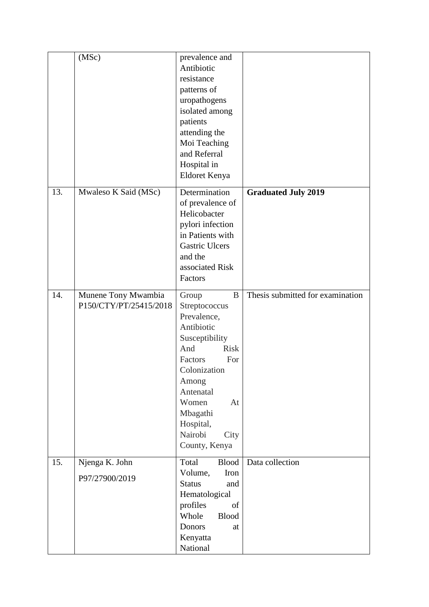|     | (MSc)                                         | prevalence and<br>Antibiotic<br>resistance<br>patterns of<br>uropathogens<br>isolated among<br>patients<br>attending the<br>Moi Teaching<br>and Referral<br>Hospital in<br>Eldoret Kenya                                             |                                  |
|-----|-----------------------------------------------|--------------------------------------------------------------------------------------------------------------------------------------------------------------------------------------------------------------------------------------|----------------------------------|
| 13. | Mwaleso K Said (MSc)                          | Determination<br>of prevalence of<br>Helicobacter<br>pylori infection<br>in Patients with<br><b>Gastric Ulcers</b><br>and the<br>associated Risk<br>Factors                                                                          | <b>Graduated July 2019</b>       |
| 14. | Munene Tony Mwambia<br>P150/CTY/PT/25415/2018 | B<br>Group<br>Streptococcus<br>Prevalence,<br>Antibiotic<br>Susceptibility<br><b>Risk</b><br>And<br>For<br>Factors<br>Colonization<br>Among<br>Antenatal<br>Women<br>At<br>Mbagathi<br>Hospital,<br>Nairobi<br>City<br>County, Kenya | Thesis submitted for examination |
| 15. | Njenga K. John<br>P97/27900/2019              | Total<br><b>Blood</b><br>Volume,<br>Iron<br><b>Status</b><br>and<br>Hematological<br>profiles<br>of<br>Whole<br><b>Blood</b><br>Donors<br>at<br>Kenyatta<br>National                                                                 | Data collection                  |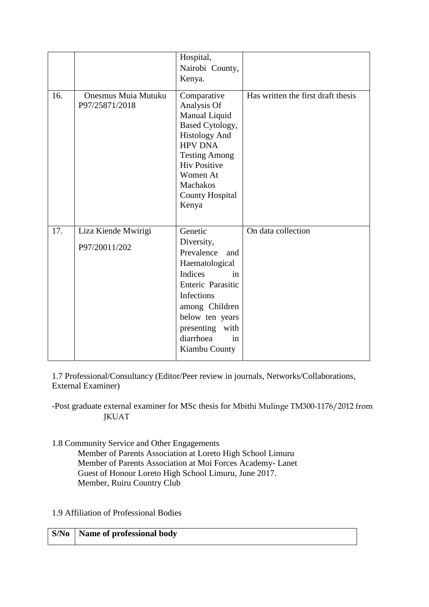|     |                                              | Hospital,<br>Nairobi County,<br>Kenya.                                                                                                                                                                             |                                    |
|-----|----------------------------------------------|--------------------------------------------------------------------------------------------------------------------------------------------------------------------------------------------------------------------|------------------------------------|
| 16. | <b>Onesmus Muia Mutuku</b><br>P97/25871/2018 | Comparative<br>Analysis Of<br>Manual Liquid<br>Based Cytology,<br><b>Histology And</b><br><b>HPV DNA</b><br><b>Testing Among</b><br><b>Hiv Positive</b><br>Women At<br>Machakos<br><b>County Hospital</b><br>Kenya | Has written the first draft thesis |
| 17. | Liza Kiende Mwirigi                          | Genetic                                                                                                                                                                                                            | On data collection                 |
|     | P97/20011/202                                | Diversity,<br>Prevalence<br>and<br>Haematological<br><b>Indices</b><br>in<br>Enteric Parasitic<br>Infections<br>among Children<br>below ten years<br>presenting with<br>diarrhoea<br>in<br>Kiambu County           |                                    |

1.7 Professional/Consultancy (Editor/Peer review in journals, Networks/Collaborations, External Examiner)

-Post graduate external examiner for MSc thesis for Mbithi Mulinge TM300-1176/2012 from JKUAT

1.8 Community Service and Other Engagements

Member of Parents Association at Loreto High School Limuru Member of Parents Association at Moi Forces Academy- Lanet Guest of Honour Loreto High School Limuru, June 2017. Member, Ruiru Country Club

1.9 Affiliation of Professional Bodies

|  | <b>S/No</b>   Name of professional body |
|--|-----------------------------------------|
|--|-----------------------------------------|